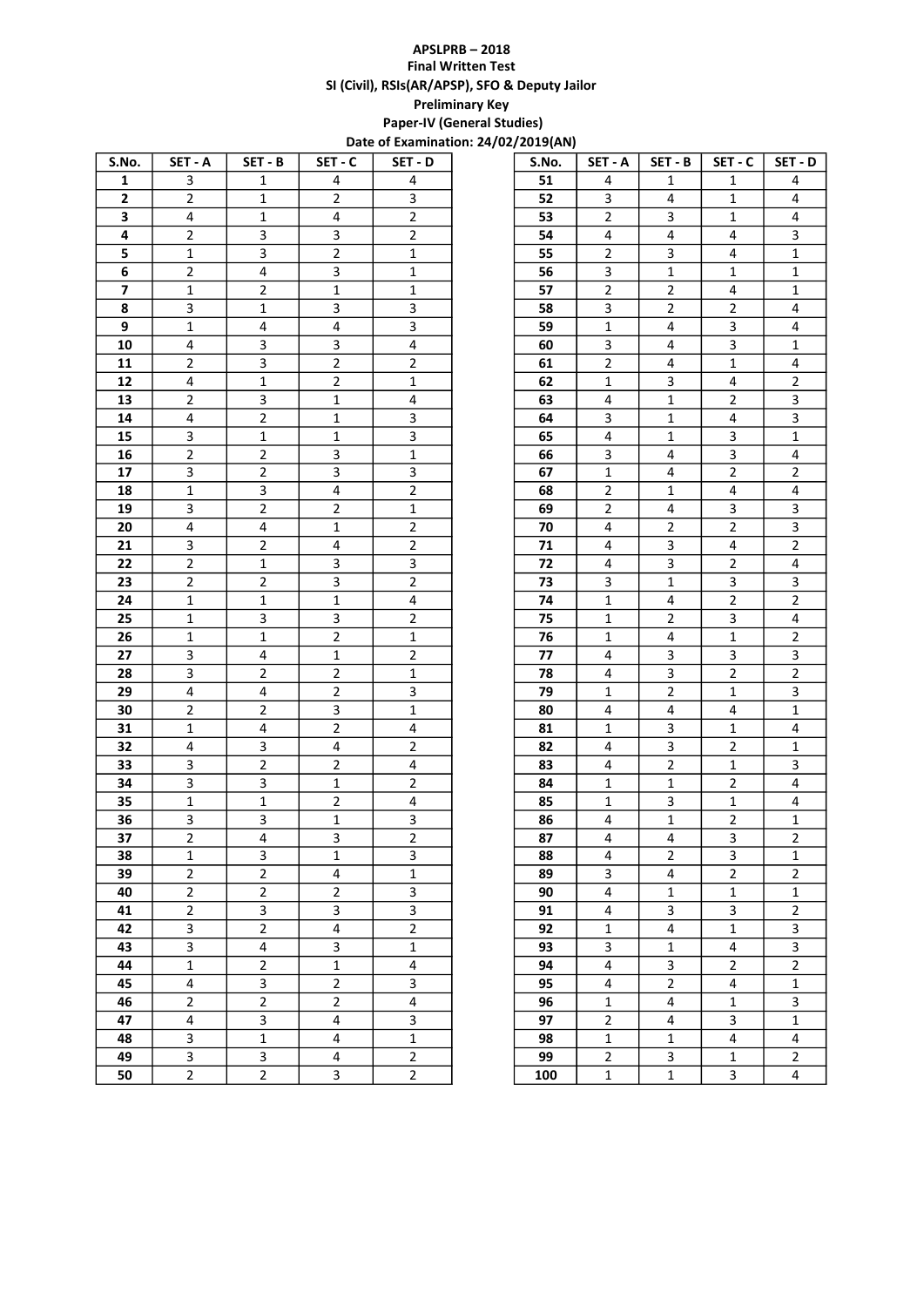## APSLPRB – 2018 Final Written Test SI (Civil), RSIs(AR/APSP), SFO & Deputy Jailor Preliminary Key Paper-IV (General Studies)

| S.No.                   | SET - A                 | SET - B                 | SET-C          | SET - D        | S.No. | SET - A        | SET - B        | SET - C        | SET - D        |
|-------------------------|-------------------------|-------------------------|----------------|----------------|-------|----------------|----------------|----------------|----------------|
| 1                       | 3                       | $\mathbf{1}$            | 4              | 4              | 51    | 4              | 1              | 1              | 4              |
| $\mathbf{2}$            | $\overline{2}$          | $\mathbf{1}$            | $\overline{2}$ | 3              | 52    | 3              | 4              | 1              | 4              |
| 3                       | 4                       | $\mathbf{1}$            | 4              | $\overline{2}$ | 53    | $\overline{2}$ | 3              | $\mathbf{1}$   | 4              |
| 4                       | $\overline{2}$          | 3                       | 3              | $\overline{2}$ | 54    | 4              | 4              | 4              | 3              |
| 5                       | $\mathbf{1}$            | 3                       | $\overline{2}$ | $\mathbf{1}$   | 55    | $\overline{2}$ | 3              | 4              | 1              |
| 6                       | $\overline{2}$          | $\overline{4}$          | 3              | $\mathbf{1}$   | 56    | 3              | $\mathbf 1$    | $\mathbf{1}$   | 1              |
| $\overline{\mathbf{z}}$ | $\mathbf 1$             | $\overline{2}$          | $\mathbf 1$    | $\mathbf 1$    | 57    | $\overline{2}$ | $\overline{2}$ | 4              | 1              |
| 8                       | 3                       | $\mathbf{1}$            | 3              | 3              | 58    | 3              | $\overline{2}$ | $\overline{2}$ | 4              |
| 9                       | 1                       | 4                       | 4              | 3              | 59    | $\mathbf 1$    | 4              | 3              | 4              |
| 10                      | 4                       | 3                       | 3              | $\overline{a}$ | 60    | 3              | 4              | 3              | 1              |
| 11                      | $\overline{2}$          | 3                       | $\overline{2}$ | $\overline{2}$ | 61    | $\overline{2}$ | 4              | $\mathbf{1}$   | 4              |
| 12                      | 4                       | $\mathbf{1}$            | $\overline{2}$ | $\mathbf{1}$   | 62    | $\mathbf{1}$   | 3              | 4              | $\mathbf 2$    |
| 13                      | $\overline{2}$          | 3                       | $\mathbf{1}$   | 4              | 63    | 4              | $\mathbf{1}$   | $\overline{2}$ | 3              |
| 14                      | $\overline{\mathbf{4}}$ | $\overline{2}$          | $\mathbf{1}$   | 3              | 64    | 3              | $\mathbf{1}$   | 4              | 3              |
| 15                      | 3                       | $\mathbf{1}$            | $\mathbf{1}$   | 3              | 65    | 4              | $\mathbf{1}$   | 3              | 1              |
| 16                      | $\overline{2}$          | $\overline{2}$          | 3              | $\mathbf{1}$   | 66    | 3              | 4              | 3              | 4              |
| 17                      | 3                       | $\overline{2}$          | 3              | 3              | 67    | $\mathbf{1}$   | 4              | $\overline{2}$ | $\overline{2}$ |
| 18                      | $\mathbf{1}$            | 3                       | 4              | $\overline{2}$ | 68    | $\overline{2}$ | $\mathbf{1}$   | 4              | 4              |
| 19                      | 3                       | $\overline{2}$          | $\overline{2}$ | $\mathbf{1}$   | 69    | $\overline{2}$ | 4              | 3              | 3              |
| 20                      | 4                       | 4                       | 1              | $\overline{2}$ | 70    | 4              | $\overline{2}$ | $\overline{2}$ | 3              |
| 21                      | 3                       | $\overline{2}$          | 4              | $\overline{2}$ | 71    | 4              | 3              | 4              | $\mathbf 2$    |
| 22                      | $\overline{2}$          | $\mathbf{1}$            | 3              | 3              | 72    | 4              | 3              | $\overline{2}$ | 4              |
| 23                      | $\overline{2}$          | $\overline{2}$          | 3              | $\overline{2}$ | 73    | 3              | $\mathbf{1}$   | 3              | 3              |
| 24                      | 1                       | 1                       | $\mathbf{1}$   | 4              | 74    | $\mathbf{1}$   | 4              | $\overline{2}$ | $\mathbf 2$    |
| 25                      | 1                       | 3                       | 3              | $\overline{2}$ | 75    | $\mathbf{1}$   | $\overline{2}$ | 3              | 4              |
| 26                      | 1                       | $\mathbf{1}$            | $\mathbf 2$    | $\mathbf 1$    | 76    | $\mathbf{1}$   | 4              | $\mathbf{1}$   | 2              |
| 27                      | 3                       | $\overline{4}$          | $\mathbf 1$    | $\overline{2}$ | 77    | 4              | 3              | 3              | 3              |
| 28                      | 3                       | $\overline{2}$          | $\overline{2}$ | $\mathbf 1$    | 78    | 4              | 3              | $\overline{2}$ | 2              |
| 29                      | 4                       | 4                       | $\overline{2}$ | 3              | 79    | $\mathbf{1}$   | $\overline{2}$ | 1              | 3              |
| 30                      | $\overline{2}$          | $\overline{2}$          | 3              | $\mathbf{1}$   | 80    | 4              | 4              | 4              | $\mathbf 1$    |
| 31                      | 1                       | 4                       | $\overline{2}$ | 4              | 81    | 1              | 3              | $\mathbf{1}$   | 4              |
| 32                      | 4                       | 3                       | 4              | $\overline{2}$ | 82    | 4              | 3              | $\overline{2}$ | 1              |
| 33                      | 3                       | $\overline{2}$          | $\overline{2}$ | $\pmb{4}$      | 83    | 4              | $\overline{2}$ | $\mathbf{1}$   | 3              |
| 34                      | 3                       | 3                       | $\mathbf 1$    | $\overline{2}$ | 84    | $\mathbf{1}$   | $\mathbf{1}$   | $\overline{2}$ | 4              |
| 35                      | $\mathbf{1}$            | $\mathbf{1}$            | $\overline{2}$ | $\overline{a}$ | 85    | $\mathbf{1}$   | 3              | $\mathbf{1}$   | 4              |
| 36                      | 3                       | 3                       | $\mathbf 1$    | 3              | 86    | 4              | $\mathbf{1}$   | $\overline{2}$ | 1              |
| 37                      | $\overline{\mathbf{c}}$ | $\overline{\mathbf{4}}$ | 3              | $\overline{2}$ | 87    | 4              | 4              | 3              | $\mathbf 2$    |
| 38                      | 1                       | 3                       | $\mathbf{1}$   | 3              | 88    | 4              | $\overline{2}$ | 3              | 1              |
| 39                      | $\overline{2}$          | $\overline{2}$          | 4              | $\mathbf{1}$   | 89    | 3              | 4              | $\overline{2}$ | $\mathbf 2$    |
| 40                      | $\overline{2}$          | $\overline{2}$          | $\overline{2}$ | $\mathbf{3}$   | 90    | 4              | $\mathbf{1}$   | $\mathbf 1$    | $\mathbf 1$    |
| 41                      | $\overline{2}$          | 3                       | 3              | $\mathbf{3}$   | 91    | $\overline{4}$ | 3              | 3              | $\overline{2}$ |
| 42                      | 3                       | $\overline{2}$          | $\overline{4}$ | $\overline{2}$ | 92    | $\mathbf{1}$   | $\overline{a}$ | $\mathbf 1$    | 3              |
| 43                      | 3                       | $\overline{\mathbf{4}}$ | 3              | $\mathbf 1$    | 93    | 3              | $\mathbf{1}$   | 4              | 3              |
| 44                      | $\mathbf{1}$            | $\overline{2}$          | $\mathbf{1}$   | 4              | 94    | 4              | 3              | $\overline{2}$ | $\overline{2}$ |
| 45                      | 4                       | 3                       | $\overline{2}$ | 3              | 95    | 4              | $\overline{2}$ | 4              | 1              |
| 46                      | $\overline{2}$          | $\overline{2}$          | $\overline{2}$ | $\overline{4}$ | 96    | $\mathbf{1}$   | 4              | $\mathbf{1}$   | 3              |
| 47                      | 4                       | 3                       | 4              | 3              | 97    | $\overline{2}$ | 4              | 3              | 1              |
| 48                      | 3                       | $\mathbf{1}$            | 4              | $\mathbf 1$    | 98    | $\mathbf{1}$   | $\mathbf{1}$   | 4              | 4              |
| 49                      | 3                       | 3                       | 4              | $\overline{2}$ | 99    | $\overline{2}$ | 3              | $\mathbf{1}$   | $\overline{2}$ |
| 50                      | $\overline{2}$          | $\overline{2}$          | 3              | $\overline{2}$ | 100   | $\mathbf{1}$   | $\mathbf 1$    | 3              | 4              |
|                         |                         |                         |                |                |       |                |                |                |                |

| Date of Examination: 24/02/2019(AN) |                         |  |       |                |                         |                         |                         |  |  |  |
|-------------------------------------|-------------------------|--|-------|----------------|-------------------------|-------------------------|-------------------------|--|--|--|
| C                                   | SET - D                 |  | S.No. | SET - A        | SET - B                 | SET - C                 | SET - D                 |  |  |  |
|                                     | 4                       |  | 51    | 4              | 1                       | 1                       | 4                       |  |  |  |
|                                     | 3                       |  | 52    | 3              | 4                       | 1                       | 4                       |  |  |  |
|                                     | $\mathbf 2$             |  | 53    | $\overline{2}$ | 3                       | 1                       | 4                       |  |  |  |
|                                     | $\mathbf 2$             |  | 54    | 4              | 4                       | 4                       | 3                       |  |  |  |
|                                     | $\mathbf{1}$            |  | 55    | $\overline{2}$ | 3                       | 4                       | $\mathbf 1$             |  |  |  |
|                                     | $\mathbf{1}$            |  | 56    | 3              | $\mathbf{1}$            | 1                       | $\mathbf 1$             |  |  |  |
|                                     | $\mathbf{1}$            |  | 57    | $\overline{2}$ | $\overline{\mathbf{c}}$ | 4                       | $\mathbf 1$             |  |  |  |
|                                     | 3                       |  | 58    | 3              | $\overline{2}$          | 2                       | 4                       |  |  |  |
|                                     | 3                       |  | 59    | $\mathbf{1}$   | 4                       | 3                       | 4                       |  |  |  |
|                                     | 4                       |  | 60    | 3              | 4                       | 3                       | $\mathbf{1}$            |  |  |  |
|                                     | $\overline{\mathbf{c}}$ |  | 61    | $\overline{2}$ | 4                       | 1                       | 4                       |  |  |  |
|                                     | $\mathbf{1}$            |  | 62    | $\mathbf 1$    | 3                       | 4                       | $\overline{2}$          |  |  |  |
|                                     | 4                       |  | 63    | 4              | $\mathbf 1$             | $\mathbf 2$             | 3                       |  |  |  |
|                                     | 3                       |  | 64    | 3              | $\mathbf{1}$            | 4                       | 3                       |  |  |  |
|                                     | 3                       |  | 65    | 4              | $\mathbf{1}$            | 3                       | $\mathbf 1$             |  |  |  |
|                                     | $\mathbf{1}$            |  | 66    | 3              | 4                       | 3                       | 4                       |  |  |  |
|                                     | 3                       |  | 67    | $\mathbf{1}$   | 4                       | $\overline{2}$          | $\mathbf 2$             |  |  |  |
|                                     | $\overline{2}$          |  | 68    | $\overline{2}$ | $\mathbf{1}$            | 4                       | 4                       |  |  |  |
|                                     | $\overline{1}$          |  | 69    | $\overline{2}$ | 4                       | 3                       | 3                       |  |  |  |
|                                     | $\overline{2}$          |  | 70    | 4              | $\overline{\mathbf{c}}$ | $\overline{2}$          | 3                       |  |  |  |
|                                     | $\overline{2}$          |  | 71    | 4              | 3                       | 4                       | $\overline{2}$          |  |  |  |
|                                     | 3                       |  | 72    | 4              | 3                       | $\overline{2}$          | 4                       |  |  |  |
|                                     | $\mathbf 2$             |  | 73    | 3              | $\mathbf{1}$            | 3                       | 3                       |  |  |  |
|                                     | 4                       |  | 74    | $\mathbf{1}$   | 4                       | $\overline{2}$          | $\overline{2}$          |  |  |  |
|                                     | $\mathbf 2$             |  | 75    | $\mathbf{1}$   | $\overline{2}$          | 3                       | 4                       |  |  |  |
|                                     | $\mathbf{1}$            |  | 76    | $\mathbf{1}$   | 4                       | 1                       | $\overline{2}$          |  |  |  |
|                                     | $\mathbf 2$             |  | 77    | 4              | 3                       | 3                       | 3                       |  |  |  |
|                                     | $\mathbf{1}$            |  | 78    | 4              | 3                       | $\mathbf 2$             | $\mathbf 2$             |  |  |  |
|                                     | 3                       |  | 79    | $\mathbf 1$    | 2                       | 1                       | 3                       |  |  |  |
|                                     | $\mathbf{1}$            |  | 80    | 4              | 4                       | 4                       | $\mathbf 1$             |  |  |  |
|                                     | 4                       |  | 81    | $\mathbf{1}$   | 3                       | $\mathbf{1}$            | 4                       |  |  |  |
|                                     | $\mathbf 2$             |  | 82    | 4              | 3                       | 2                       | $\mathbf{1}$            |  |  |  |
|                                     | 4                       |  | 83    | 4              | $\overline{\mathbf{c}}$ | 1                       | 3                       |  |  |  |
|                                     | $\overline{2}$          |  | 84    | $\mathbf{1}$   | $\mathbf 1$             | 2                       | 4                       |  |  |  |
|                                     | 4                       |  | 85    | $\mathbf{1}$   | 3                       | 1                       | 4                       |  |  |  |
|                                     | 3                       |  | 86    | 4              | $\mathbf 1$             | $\overline{2}$          | $\mathbf 1$             |  |  |  |
|                                     | 2                       |  | 87    | 4              | 4                       | 3                       | 2                       |  |  |  |
|                                     | $\overline{\mathbf{3}}$ |  | 88    | 4              | $\overline{2}$          | 3                       | $\mathbf 1$             |  |  |  |
|                                     | $\mathbf{1}$            |  | 89    | 3              | 4                       | $\overline{\mathbf{c}}$ | $\mathbf 2$             |  |  |  |
|                                     | $\overline{3}$          |  | 90    | 4              | $\mathbf{1}$            | $\mathbf 1$             | $\mathbf{1}$            |  |  |  |
|                                     | $\overline{\mathbf{3}}$ |  | 91    | 4              | 3                       | 3                       | $\overline{\mathbf{c}}$ |  |  |  |
|                                     | $\overline{2}$          |  | 92    | $\mathbf{1}$   | 4                       | $\mathbf 1$             | 3                       |  |  |  |
|                                     | $\overline{1}$          |  | 93    | 3              | $\mathbf{1}$            | 4                       | $\overline{3}$          |  |  |  |
|                                     | 4                       |  | 94    | 4              | 3                       | $\overline{2}$          | $\overline{2}$          |  |  |  |
|                                     | 3                       |  | 95    | 4              | $\overline{2}$          | 4                       | $\mathbf 1$             |  |  |  |
|                                     | $\overline{4}$          |  | 96    | $\mathbf{1}$   | 4                       | $\mathbf{1}$            | $\overline{\mathbf{3}}$ |  |  |  |
|                                     | 3                       |  | 97    | $\overline{2}$ | 4                       | 3                       | $\mathbf{1}$            |  |  |  |
|                                     | $\mathbf{1}$            |  | 98    | $\mathbf{1}$   | $\mathbf{1}$            | 4                       | 4                       |  |  |  |
|                                     | $\overline{2}$          |  | 99    | $\overline{2}$ | 3                       | $\mathbf 1$             | $\overline{2}$          |  |  |  |
|                                     | $\overline{2}$          |  | 100   | $\mathbf{1}$   | $\mathbf{1}$            | 3                       | 4                       |  |  |  |
|                                     |                         |  |       |                |                         |                         |                         |  |  |  |